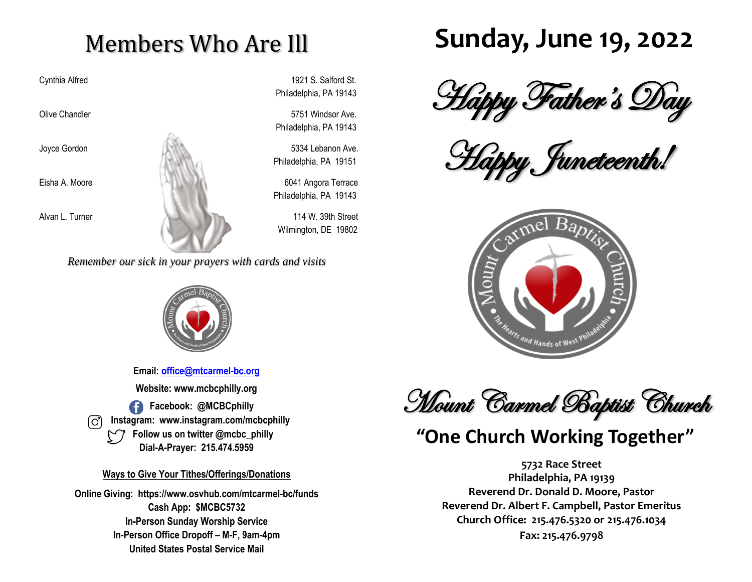# Members Who Are Ill

Cynthia Alfred 1921 S. Salford St. Philadelphia, PA 19143

Olive Chandler 5751 Windsor Ave. Philadelphia, PA 19143

Joyce Gordon 5334 Lebanon Ave. Philadelphia, PA 19151

Philadelphia, PA 19143

Wilmington, DE 19802

*Remember our sick in your prayers with cards and visits*



**Email: [office@mtcarmel-bc.org](mailto:office@mtcarmel-bc.org) Website: www.mcbcphilly.org Facebook: @MCBCphilly Instagram: www.instagram.com/mcbcphilly Follow us on twitter @mcbc\_philly Dial-A-Prayer: 215.474.5959**

#### **Ways to Give Your Tithes/Offerings/Donations**

**Online Giving: https://www.osvhub.com/mtcarmel-bc/funds Cash App: \$MCBC5732 In-Person Sunday Worship Service In-Person Office Dropoff – M-F, 9am-4pm United States Postal Service Mail**

# **Sunday, June 19, 2022**

Happy Father's Day

Happy Juneteenth!



**Mount Carmel Baptist Church** 

### **"One Church Working Together"**

**5732 Race Street Philadelphia, PA 19139 Reverend Dr. Donald D. Moore, Pastor Reverend Dr. Albert F. Campbell, Pastor Emeritus Church Office: 215.476.5320 or 215.476.1034 Fax: 215.476.9798**